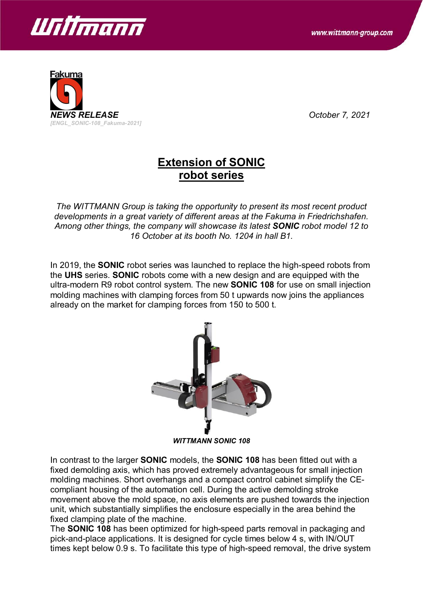



## **Extension of SONIC robot series**

*The WITTMANN Group is taking the opportunity to present its most recent product developments in a great variety of different areas at the Fakuma in Friedrichshafen. Among other things, the company will showcase its latest SONIC robot model 12 to 16 October at its booth No. 1204 in hall B1.*

In 2019, the **SONIC** robot series was launched to replace the high-speed robots from the **UHS** series. **SONIC** robots come with a new design and are equipped with the ultra-modern R9 robot control system. The new **SONIC 108** for use on small injection molding machines with clamping forces from 50 t upwards now joins the appliances already on the market for clamping forces from 150 to 500 t.



*WITTMANN SONIC 108*

In contrast to the larger **SONIC** models, the **SONIC 108** has been fitted out with a fixed demolding axis, which has proved extremely advantageous for small injection molding machines. Short overhangs and a compact control cabinet simplify the CEcompliant housing of the automation cell. During the active demolding stroke movement above the mold space, no axis elements are pushed towards the injection unit, which substantially simplifies the enclosure especially in the area behind the fixed clamping plate of the machine.

The **SONIC 108** has been optimized for high-speed parts removal in packaging and pick-and-place applications. It is designed for cycle times below 4 s, with IN/OUT times kept below 0.9 s. To facilitate this type of high-speed removal, the drive system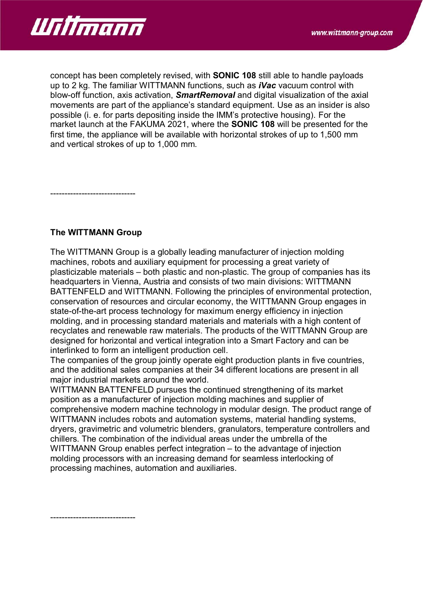

concept has been completely revised, with **SONIC 108** still able to handle payloads up to 2 kg. The familiar WITTMANN functions, such as *iVac* vacuum control with blow-off function, axis activation, *SmartRemoval* and digital visualization of the axial movements are part of the appliance's standard equipment. Use as an insider is also possible (i. e. for parts depositing inside the IMM's protective housing). For the market launch at the FAKUMA 2021, where the **SONIC 108** will be presented for the first time, the appliance will be available with horizontal strokes of up to 1,500 mm and vertical strokes of up to 1,000 mm.

------------------------------

## **The WITTMANN Group**

The WITTMANN Group is a globally leading manufacturer of injection molding machines, robots and auxiliary equipment for processing a great variety of plasticizable materials – both plastic and non-plastic. The group of companies has its headquarters in Vienna, Austria and consists of two main divisions: WITTMANN BATTENFELD and WITTMANN. Following the principles of environmental protection, conservation of resources and circular economy, the WITTMANN Group engages in state-of-the-art process technology for maximum energy efficiency in injection molding, and in processing standard materials and materials with a high content of recyclates and renewable raw materials. The products of the WITTMANN Group are designed for horizontal and vertical integration into a Smart Factory and can be interlinked to form an intelligent production cell.

The companies of the group jointly operate eight production plants in five countries, and the additional sales companies at their 34 different locations are present in all major industrial markets around the world.

WITTMANN BATTENFELD pursues the continued strengthening of its market position as a manufacturer of injection molding machines and supplier of comprehensive modern machine technology in modular design. The product range of WITTMANN includes robots and automation systems, material handling systems, dryers, gravimetric and volumetric blenders, granulators, temperature controllers and chillers. The combination of the individual areas under the umbrella of the WITTMANN Group enables perfect integration – to the advantage of injection molding processors with an increasing demand for seamless interlocking of processing machines, automation and auxiliaries.

------------------------------